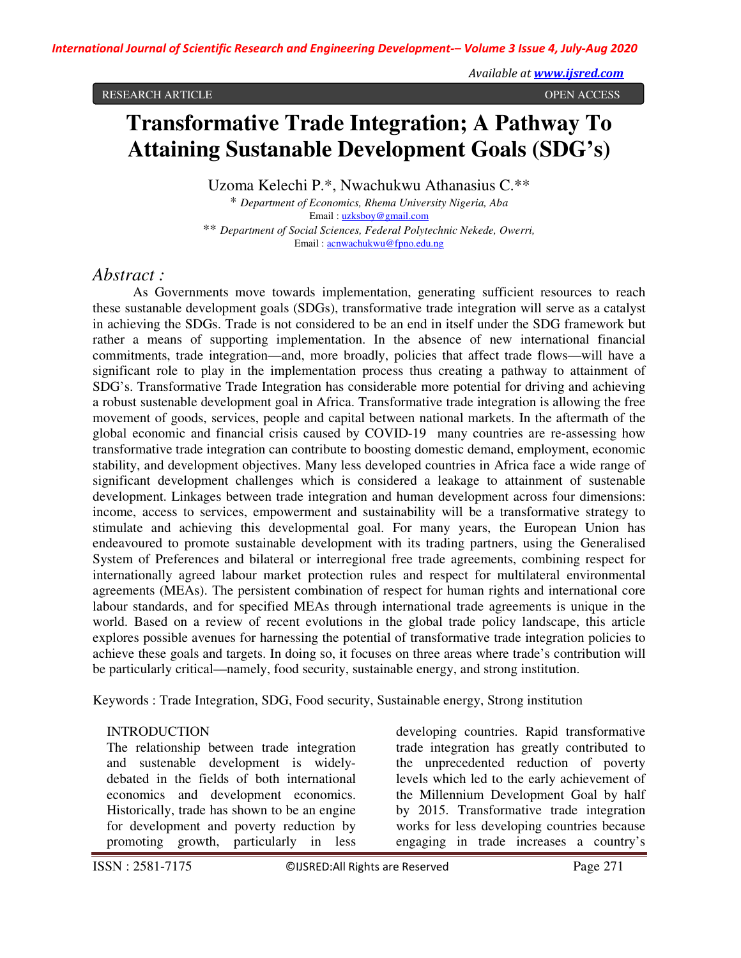#### RESEARCH ARTICLE OPEN ACCESS

# **Transformative Trade Integration; A Pathway To Attaining Sustanable Development Goals (SDG's)**

Uzoma Kelechi P.\*, Nwachukwu Athanasius C.\*\*

\* *Department of Economics, Rhema University Nigeria, Aba* Email : uzksboy@gmail.com \*\* *Department of Social Sciences, Federal Polytechnic Nekede, Owerri,* Email : acnwachukwu@fpno.edu.ng

# *Abstract :*

As Governments move towards implementation, generating sufficient resources to reach these sustanable development goals (SDGs), transformative trade integration will serve as a catalyst in achieving the SDGs. Trade is not considered to be an end in itself under the SDG framework but rather a means of supporting implementation. In the absence of new international financial commitments, trade integration—and, more broadly, policies that affect trade flows—will have a significant role to play in the implementation process thus creating a pathway to attainment of SDG's. Transformative Trade Integration has considerable more potential for driving and achieving a robust sustenable development goal in Africa. Transformative trade integration is allowing the free movement of goods, services, people and capital between national markets. In the aftermath of the global economic and financial crisis caused by COVID-19 many countries are re-assessing how transformative trade integration can contribute to boosting domestic demand, employment, economic stability, and development objectives. Many less developed countries in Africa face a wide range of significant development challenges which is considered a leakage to attainment of sustenable development. Linkages between trade integration and human development across four dimensions: income, access to services, empowerment and sustainability will be a transformative strategy to stimulate and achieving this developmental goal. For many years, the European Union has endeavoured to promote sustainable development with its trading partners, using the Generalised System of Preferences and bilateral or interregional free trade agreements, combining respect for internationally agreed labour market protection rules and respect for multilateral environmental agreements (MEAs). The persistent combination of respect for human rights and international core labour standards, and for specified MEAs through international trade agreements is unique in the world. Based on a review of recent evolutions in the global trade policy landscape, this article explores possible avenues for harnessing the potential of transformative trade integration policies to achieve these goals and targets. In doing so, it focuses on three areas where trade's contribution will be particularly critical—namely, food security, sustainable energy, and strong institution.

Keywords : Trade Integration, SDG, Food security, Sustainable energy, Strong institution

## INTRODUCTION

The relationship between trade integration and sustenable development is widelydebated in the fields of both international economics and development economics. Historically, trade has shown to be an engine for development and poverty reduction by promoting growth, particularly in less

developing countries. Rapid transformative trade integration has greatly contributed to the unprecedented reduction of poverty levels which led to the early achievement of the Millennium Development Goal by half by 2015. Transformative trade integration works for less developing countries because engaging in trade increases a country's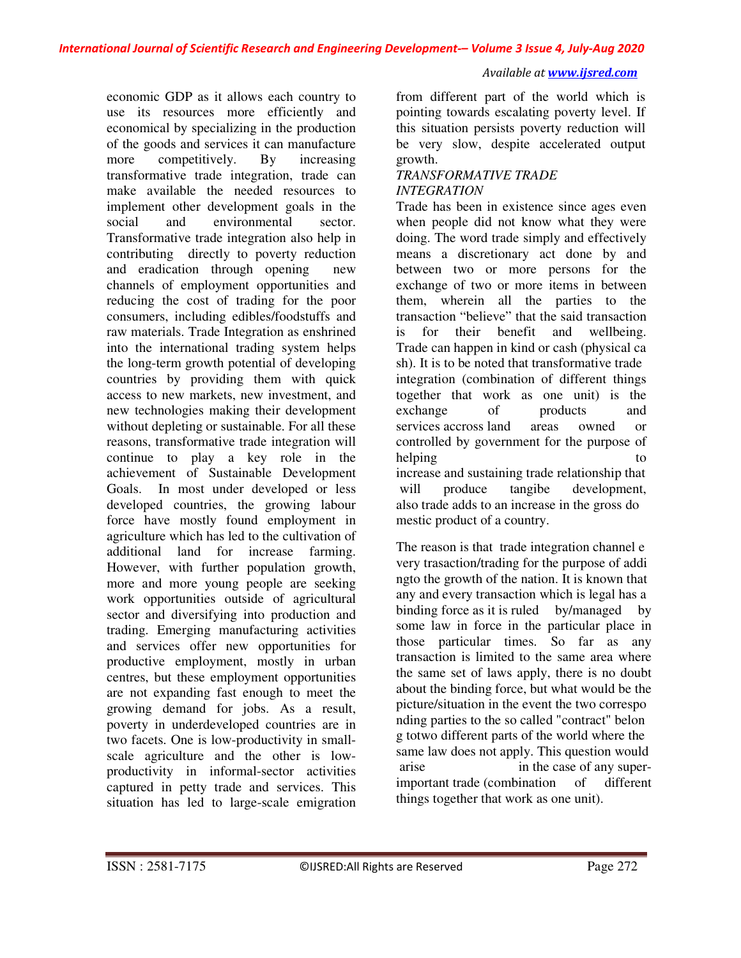economic GDP as it allows each country to use its resources more efficiently and economical by specializing in the production of the goods and services it can manufacture more competitively. By increasing transformative trade integration, trade can make available the needed resources to implement other development goals in the social and environmental sector. Transformative trade integration also help in contributing directly to poverty reduction and eradication through opening new channels of employment opportunities and reducing the cost of trading for the poor consumers, including edibles/foodstuffs and raw materials. Trade Integration as enshrined into the international trading system helps the long-term growth potential of developing countries by providing them with quick access to new markets, new investment, and new technologies making their development without depleting or sustainable. For all these reasons, transformative trade integration will continue to play a key role in the achievement of Sustainable Development Goals. In most under developed or less developed countries, the growing labour force have mostly found employment in agriculture which has led to the cultivation of additional land for increase farming. However, with further population growth, more and more young people are seeking work opportunities outside of agricultural sector and diversifying into production and trading. Emerging manufacturing activities and services offer new opportunities for productive employment, mostly in urban centres, but these employment opportunities are not expanding fast enough to meet the growing demand for jobs. As a result, poverty in underdeveloped countries are in two facets. One is low-productivity in smallscale agriculture and the other is lowproductivity in informal-sector activities captured in petty trade and services. This situation has led to large-scale emigration

from different part of the world which is pointing towards escalating poverty level. If this situation persists poverty reduction will be very slow, despite accelerated output growth.

## *TRANSFORMATIVE TRADE INTEGRATION*

Trade has been in existence since ages even when people did not know what they were doing. The word trade simply and effectively means a discretionary act done by and between two or more persons for the exchange of two or more items in between them, wherein all the parties to the transaction "believe" that the said transaction is for their benefit and wellbeing. Trade can happen in kind or cash (physical ca sh). It is to be noted that transformative trade integration (combination of different things together that work as one unit) is the exchange of products and services accross land areas owned or controlled by government for the purpose of helping to to the to the to the to the to the to the to the to the to the to the to the to the to the to the to the to the to the to the to the to the to the to the to the to the to the to the to the to the to the to the t increase and sustaining trade relationship that will produce tangibe development, also trade adds to an increase in the gross do mestic product of a country.

The reason is that trade integration channel e very trasaction/trading for the purpose of addi ngto the growth of the nation. It is known that any and every transaction which is legal has a binding force as it is ruled by/managed by some law in force in the particular place in those particular times. So far as any transaction is limited to the same area where the same set of laws apply, there is no doubt about the binding force, but what would be the picture/situation in the event the two correspo nding parties to the so called "contract" belon g totwo different parts of the world where the same law does not apply. This question would arise in the case of any superimportant trade (combination of different things together that work as one unit).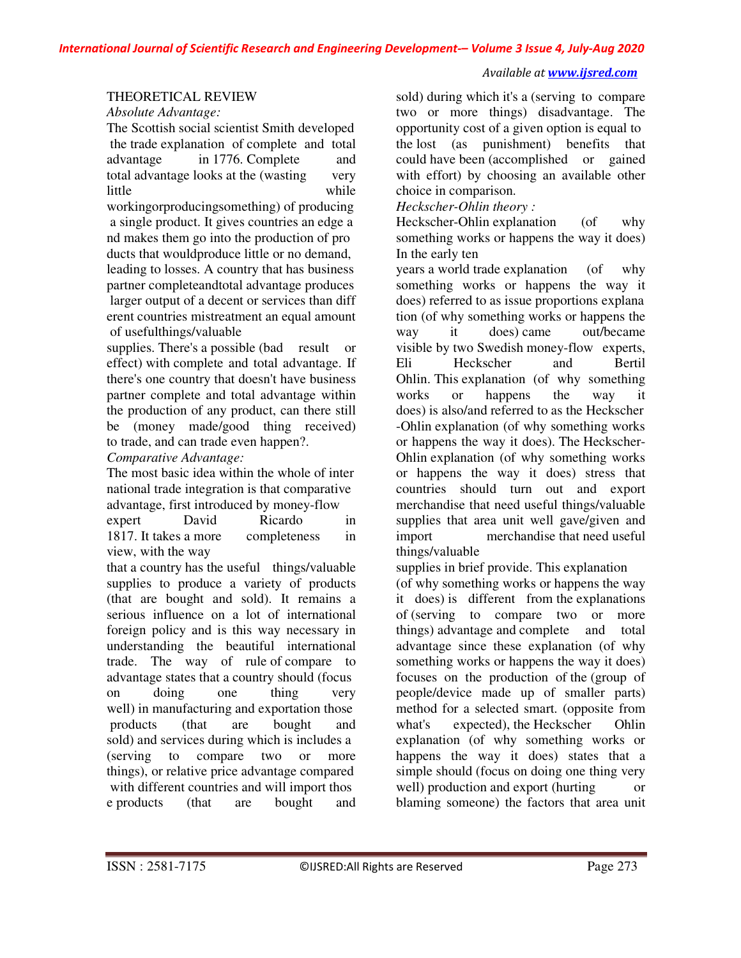## *Available at www.ijsred.com*

## THEORETICAL REVIEW

*Absolute Advantage:* 

The Scottish social scientist Smith developed the trade explanation of complete and total advantage in 1776. Complete and total advantage looks at the (wasting very little while workingorproducingsomething) of producing a single product. It gives countries an edge a nd makes them go into the production of pro ducts that wouldproduce little or no demand, leading to losses. A country that has business partner completeandtotal advantage produces larger output of a decent or services than diff erent countries mistreatment an equal amount

of usefulthings/valuable

supplies. There's a possible (bad result or effect) with complete and total advantage. If there's one country that doesn't have business partner complete and total advantage within the production of any product, can there still be (money made/good thing received) to trade, and can trade even happen?.

*Comparative Advantage:* 

The most basic idea within the whole of inter national trade integration is that comparative advantage, first introduced by money-flow

expert David Ricardo in 1817. It takes a more completeness in view, with the way

that a country has the useful things/valuable supplies to produce a variety of products (that are bought and sold). It remains a serious influence on a lot of international foreign policy and is this way necessary in understanding the beautiful international trade. The way of rule of compare to advantage states that a country should (focus on doing one thing very well) in manufacturing and exportation those products (that are bought and sold) and services during which is includes a (serving to compare two or more things), or relative price advantage compared with different countries and will import thos e products (that are bought and

sold) during which it's a (serving to compare two or more things) disadvantage. The opportunity cost of a given option is equal to the lost (as punishment) benefits that could have been (accomplished or gained with effort) by choosing an available other choice in comparison.

*Heckscher-Ohlin theory :* 

Heckscher-Ohlin explanation (of why something works or happens the way it does) In the early ten

years a world trade explanation (of why something works or happens the way it does) referred to as issue proportions explana tion (of why something works or happens the way it does) came out/became visible by two Swedish money-flow experts, Eli Heckscher and Bertil Ohlin. This explanation (of why something works or happens the way it does) is also/and referred to as the Heckscher -Ohlin explanation (of why something works or happens the way it does). The Heckscher-Ohlin explanation (of why something works or happens the way it does) stress that countries should turn out and export merchandise that need useful things/valuable supplies that area unit well gave/given and import merchandise that need useful things/valuable

supplies in brief provide. This explanation

(of why something works or happens the way it does) is different from the explanations of (serving to compare two or more things) advantage and complete and total advantage since these explanation (of why something works or happens the way it does) focuses on the production of the (group of people/device made up of smaller parts) method for a selected smart. (opposite from what's expected), the Heckscher Ohlin explanation (of why something works or happens the way it does) states that a simple should (focus on doing one thing very well) production and export (hurting or blaming someone) the factors that area unit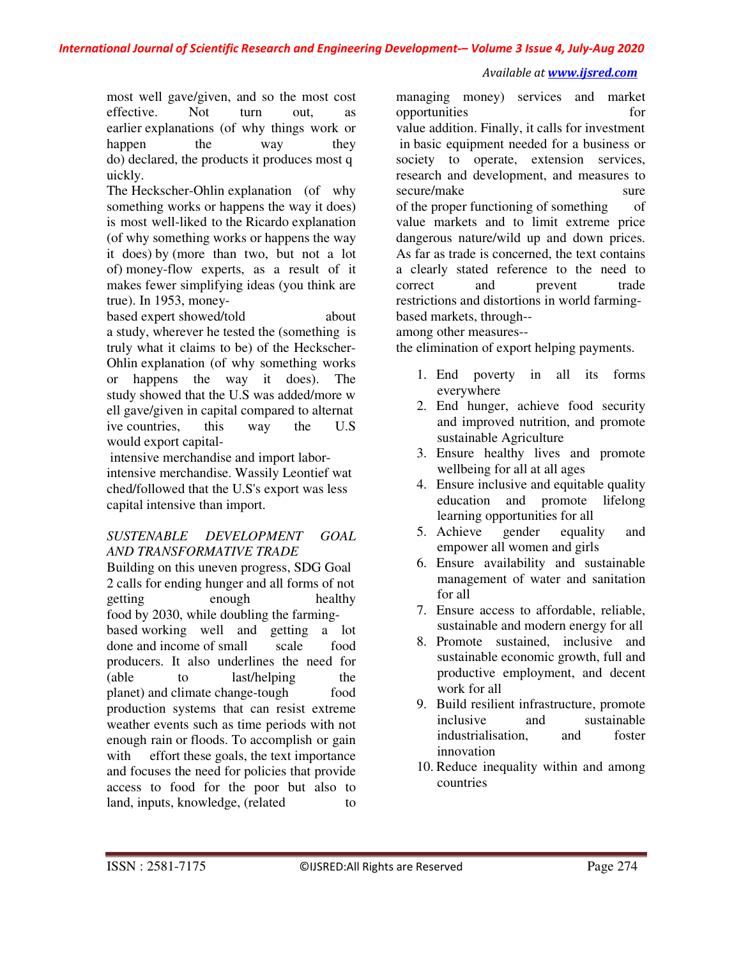most well gave/given, and so the most cost effective. Not turn out, as earlier explanations (of why things work or happen the way they do) declared, the products it produces most q uickly.

The Heckscher-Ohlin explanation (of why something works or happens the way it does) is most well-liked to the Ricardo explanation (of why something works or happens the way it does) by (more than two, but not a lot of) money-flow experts, as a result of it makes fewer simplifying ideas (you think are true). In 1953, money-

based expert showed/told about a study, wherever he tested the (something is truly what it claims to be) of the Heckscher-Ohlin explanation (of why something works or happens the way it does). The study showed that the U.S was added/more w ell gave/given in capital compared to alternat ive countries, this way the U.S would export capital-

 intensive merchandise and import laborintensive merchandise. Wassily Leontief wat ched/followed that the U.S's export was less capital intensive than import.

## *SUSTENABLE DEVELOPMENT GOAL AND TRANSFORMATIVE TRADE*

Building on this uneven progress, SDG Goal 2 calls for ending hunger and all forms of not getting enough healthy food by 2030, while doubling the farmingbased working well and getting a lot done and income of small scale food producers. It also underlines the need for (able to last/helping the planet) and climate change-tough food production systems that can resist extreme weather events such as time periods with not enough rain or floods. To accomplish or gain with effort these goals, the text importance and focuses the need for policies that provide access to food for the poor but also to land, inputs, knowledge, (related to

managing money) services and market opportunities for value addition. Finally, it calls for investment in basic equipment needed for a business or society to operate, extension services, research and development, and measures to secure/make sure sure of the proper functioning of something of value markets and to limit extreme price dangerous nature/wild up and down prices. As far as trade is concerned, the text contains a clearly stated reference to the need to correct and prevent trade restrictions and distortions in world farmingbased markets, through--

among other measures--

the elimination of export helping payments.

- 1. End poverty in all its forms everywhere
- 2. End hunger, achieve food security and improved nutrition, and promote sustainable Agriculture
- 3. Ensure healthy lives and promote wellbeing for all at all ages
- 4. Ensure inclusive and equitable quality education and promote lifelong learning opportunities for all
- 5. Achieve gender equality and empower all women and girls
- 6. Ensure availability and sustainable management of water and sanitation for all
- 7. Ensure access to affordable, reliable, sustainable and modern energy for all
- 8. Promote sustained, inclusive and sustainable economic growth, full and productive employment, and decent work for all
- 9. Build resilient infrastructure, promote inclusive and sustainable industrialisation, and foster innovation
- 10. Reduce inequality within and among countries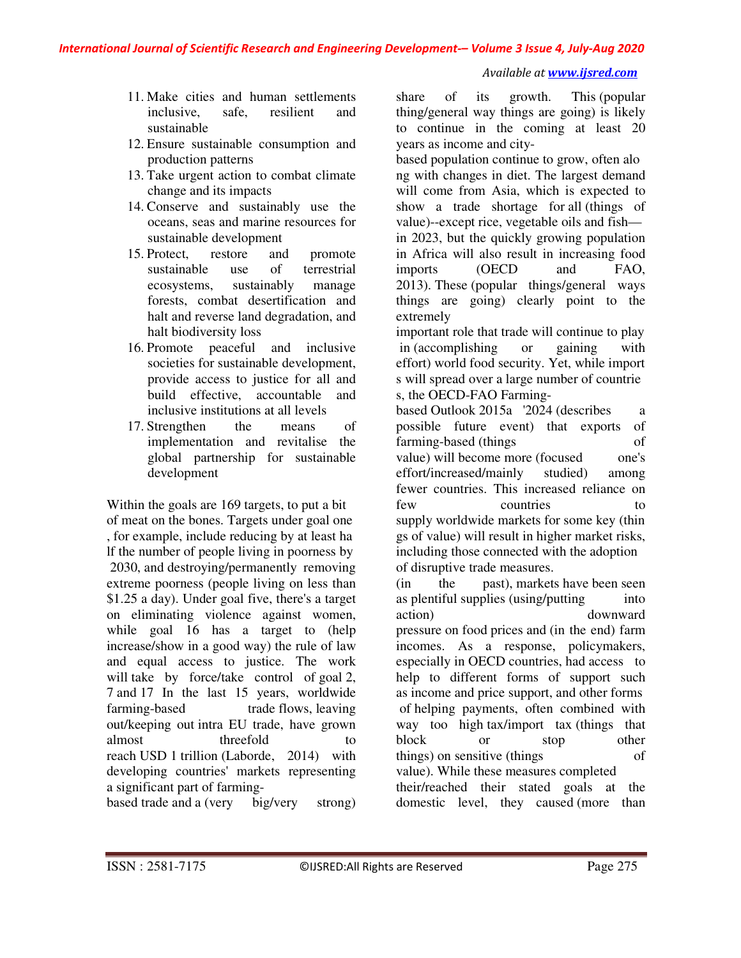#### *Available at www.ijsred.com*

- 11. Make cities and human settlements inclusive, safe, resilient and sustainable
- 12. Ensure sustainable consumption and production patterns
- 13. Take urgent action to combat climate change and its impacts
- 14. Conserve and sustainably use the oceans, seas and marine resources for sustainable development
- 15. Protect, restore and promote sustainable use of terrestrial ecosystems, sustainably manage forests, combat desertification and halt and reverse land degradation, and halt biodiversity loss
- 16. Promote peaceful and inclusive societies for sustainable development, provide access to justice for all and build effective, accountable and inclusive institutions at all levels
- 17. Strengthen the means of implementation and revitalise the global partnership for sustainable development

Within the goals are 169 targets, to put a bit of meat on the bones. Targets under goal one , for example, include reducing by at least ha lf the number of people living in poorness by 2030, and destroying/permanently removing extreme poorness (people living on less than \$1.25 a day). Under goal five, there's a target on eliminating violence against women, while goal 16 has a target to (help increase/show in a good way) the rule of law and equal access to justice. The work will take by force/take control of goal 2, 7 and 17 In the last 15 years, worldwide farming-based trade flows, leaving out/keeping out intra EU trade, have grown almost threefold to reach USD 1 trillion (Laborde, 2014) with developing countries' markets representing a significant part of farming-

based trade and a (very big/very strong)

share of its growth. This (popular thing/general way things are going) is likely to continue in the coming at least 20 years as income and city-

based population continue to grow, often alo ng with changes in diet. The largest demand will come from Asia, which is expected to show a trade shortage for all (things of value)--except rice, vegetable oils and fish in 2023, but the quickly growing population in Africa will also result in increasing food imports (OECD and FAO, 2013). These (popular things/general ways things are going) clearly point to the extremely

important role that trade will continue to play in (accomplishing or gaining with effort) world food security. Yet, while import s will spread over a large number of countrie s, the OECD-FAO Farming-

based Outlook 2015a '2024 (describes a possible future event) that exports of farming-based (things of value) will become more (focused one's effort/increased/mainly studied) among fewer countries. This increased reliance on few countries to supply worldwide markets for some key (thin gs of value) will result in higher market risks, including those connected with the adoption of disruptive trade measures.

(in the past), markets have been seen as plentiful supplies (using/putting into action) downward pressure on food prices and (in the end) farm incomes. As a response, policymakers, especially in OECD countries, had access to help to different forms of support such as income and price support, and other forms of helping payments, often combined with way too high tax/import tax (things that block or stop other things) on sensitive (things of value). While these measures completed their/reached their stated goals at the domestic level, they caused (more than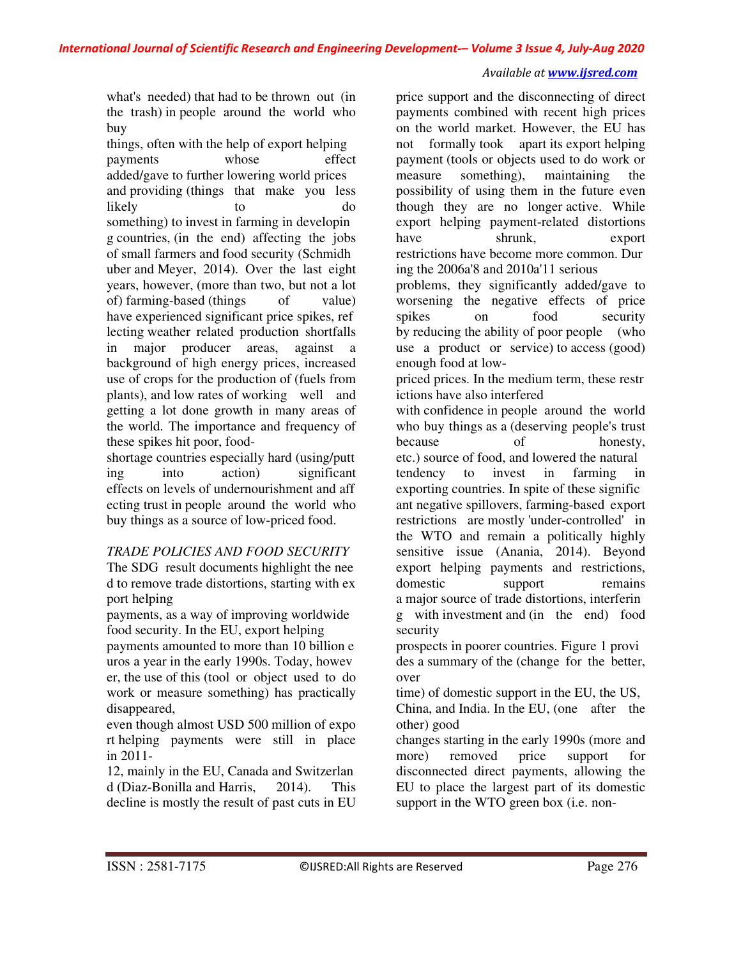## *Available at www.ijsred.com*

what's needed) that had to be thrown out (in the trash) in people around the world who buy

things, often with the help of export helping payments whose effect added/gave to further lowering world prices and providing (things that make you less likely to do something) to invest in farming in developin g countries, (in the end) affecting the jobs of small farmers and food security (Schmidh uber and Meyer, 2014). Over the last eight years, however, (more than two, but not a lot of) farming-based (things of value) have experienced significant price spikes, ref lecting weather related production shortfalls in major producer areas, against a background of high energy prices, increased use of crops for the production of (fuels from plants), and low rates of working well and getting a lot done growth in many areas of the world. The importance and frequency of these spikes hit poor, food-

shortage countries especially hard (using/putt ing into action) significant effects on levels of undernourishment and aff ecting trust in people around the world who buy things as a source of low-priced food.

## *TRADE POLICIES AND FOOD SECURITY*

The SDG result documents highlight the nee d to remove trade distortions, starting with ex port helping

payments, as a way of improving worldwide food security. In the EU, export helping

payments amounted to more than 10 billion e uros a year in the early 1990s. Today, howev er, the use of this (tool or object used to do work or measure something) has practically disappeared,

even though almost USD 500 million of expo rt helping payments were still in place in 2011-

12, mainly in the EU, Canada and Switzerlan d (Diaz-Bonilla and Harris, 2014). This decline is mostly the result of past cuts in EU

price support and the disconnecting of direct payments combined with recent high prices on the world market. However, the EU has not formally took apart its export helping payment (tools or objects used to do work or measure something), maintaining the possibility of using them in the future even though they are no longer active. While export helping payment-related distortions have shrunk, export restrictions have become more common. Dur ing the 2006a'8 and 2010a'11 serious

problems, they significantly added/gave to worsening the negative effects of price spikes on food security by reducing the ability of poor people (who use a product or service) to access (good) enough food at low-

priced prices. In the medium term, these restr ictions have also interfered

with confidence in people around the world who buy things as a (deserving people's trust because of honesty, etc.) source of food, and lowered the natural tendency to invest in farming in exporting countries. In spite of these signific ant negative spillovers, farming-based export restrictions are mostly 'under-controlled' in the WTO and remain a politically highly sensitive issue (Anania, 2014). Beyond export helping payments and restrictions, domestic support remains a major source of trade distortions, interferin g with investment and (in the end) food security

prospects in poorer countries. Figure 1 provi des a summary of the (change for the better, over

time) of domestic support in the EU, the US, China, and India. In the EU, (one after the other) good

changes starting in the early 1990s (more and more) removed price support for disconnected direct payments, allowing the EU to place the largest part of its domestic support in the WTO green box (i.e. non-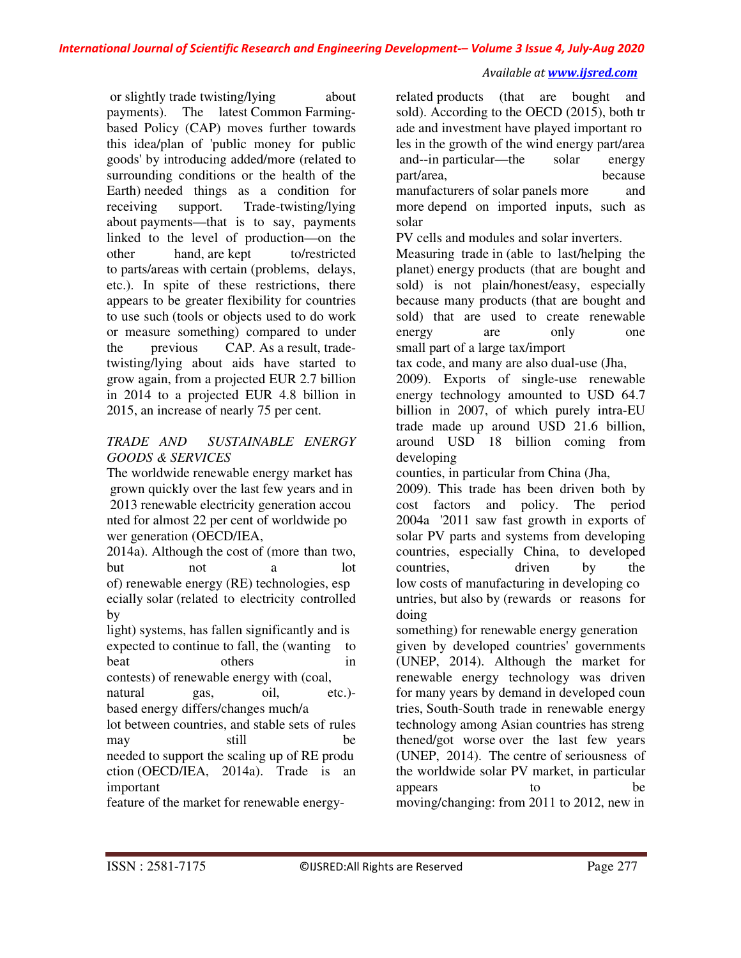#### *Available at www.ijsred.com*

 or slightly trade twisting/lying about payments). The latest Common Farmingbased Policy (CAP) moves further towards this idea/plan of 'public money for public goods' by introducing added/more (related to surrounding conditions or the health of the Earth) needed things as a condition for receiving support. Trade-twisting/lying about payments—that is to say, payments linked to the level of production—on the other hand, are kept to/restricted to parts/areas with certain (problems, delays, etc.). In spite of these restrictions, there appears to be greater flexibility for countries to use such (tools or objects used to do work or measure something) compared to under the previous CAP. As a result, tradetwisting/lying about aids have started to grow again, from a projected EUR 2.7 billion in 2014 to a projected EUR 4.8 billion in 2015, an increase of nearly 75 per cent.

# *TRADE AND SUSTAINABLE ENERGY GOODS & SERVICES*

The worldwide renewable energy market has grown quickly over the last few years and in 2013 renewable electricity generation accou nted for almost 22 per cent of worldwide po wer generation (OECD/IEA,

2014a). Although the cost of (more than two, but not a lot of) renewable energy (RE) technologies, esp ecially solar (related to electricity controlled by

light) systems, has fallen significantly and is expected to continue to fall, the (wanting to beat others in contests) of renewable energy with (coal, natural gas, oil, etc.)-

based energy differs/changes much/a

lot between countries, and stable sets of rules may still be needed to support the scaling up of RE produ ction (OECD/IEA, 2014a). Trade is an important

feature of the market for renewable energy-

related products (that are bought and sold). According to the OECD (2015), both tr ade and investment have played important ro les in the growth of the wind energy part/area and--in particular—the solar energy part/area, because manufacturers of solar panels more and more depend on imported inputs, such as solar

PV cells and modules and solar inverters.

Measuring trade in (able to last/helping the planet) energy products (that are bought and sold) is not plain/honest/easy, especially because many products (that are bought and sold) that are used to create renewable energy are only one small part of a large tax/import

tax code, and many are also dual-use (Jha, 2009). Exports of single-use renewable energy technology amounted to USD 64.7 billion in 2007, of which purely intra-EU trade made up around USD 21.6 billion, around USD 18 billion coming from developing

counties, in particular from China (Jha,

2009). This trade has been driven both by cost factors and policy. The period 2004a '2011 saw fast growth in exports of solar PV parts and systems from developing countries, especially China, to developed countries, driven by the low costs of manufacturing in developing co untries, but also by (rewards or reasons for doing

something) for renewable energy generation given by developed countries' governments (UNEP, 2014). Although the market for renewable energy technology was driven for many years by demand in developed coun tries, South-South trade in renewable energy technology among Asian countries has streng thened/got worse over the last few years (UNEP, 2014). The centre of seriousness of the worldwide solar PV market, in particular appears to be moving/changing: from 2011 to 2012, new in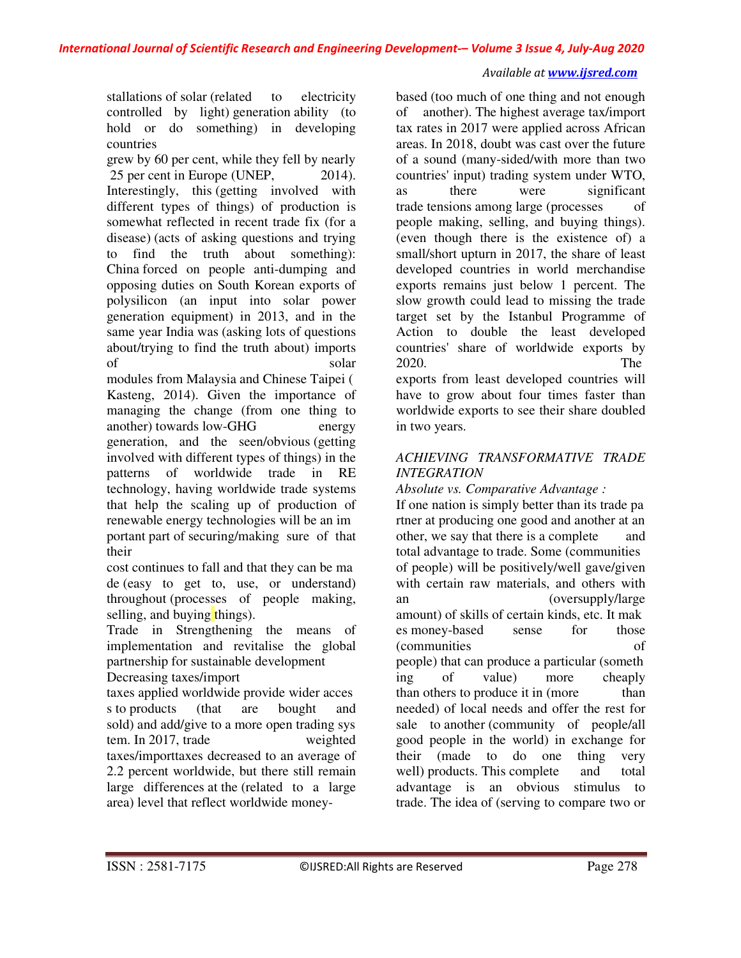## *Available at www.ijsred.com*

stallations of solar (related to electricity controlled by light) generation ability (to hold or do something) in developing countries

grew by 60 per cent, while they fell by nearly 25 per cent in Europe (UNEP, 2014). Interestingly, this (getting involved with different types of things) of production is somewhat reflected in recent trade fix (for a disease) (acts of asking questions and trying to find the truth about something): China forced on people anti-dumping and opposing duties on South Korean exports of polysilicon (an input into solar power generation equipment) in 2013, and in the same year India was (asking lots of questions about/trying to find the truth about) imports of solar

modules from Malaysia and Chinese Taipei ( Kasteng, 2014). Given the importance of managing the change (from one thing to another) towards low-GHG energy generation, and the seen/obvious (getting involved with different types of things) in the patterns of worldwide trade in RE technology, having worldwide trade systems that help the scaling up of production of renewable energy technologies will be an im portant part of securing/making sure of that their

cost continues to fall and that they can be ma de (easy to get to, use, or understand) throughout (processes of people making, selling, and buying things).

Trade in Strengthening the means of implementation and revitalise the global partnership for sustainable development

# Decreasing taxes/import

taxes applied worldwide provide wider acces s to products (that are bought and sold) and add/give to a more open trading sys tem. In 2017, trade weighted taxes/importtaxes decreased to an average of 2.2 percent worldwide, but there still remain large differences at the (related to a large area) level that reflect worldwide money-

based (too much of one thing and not enough of another). The highest average tax/import tax rates in 2017 were applied across African areas. In 2018, doubt was cast over the future of a sound (many-sided/with more than two countries' input) trading system under WTO, as there were significant trade tensions among large (processes of people making, selling, and buying things). (even though there is the existence of) a small/short upturn in 2017, the share of least developed countries in world merchandise exports remains just below 1 percent. The slow growth could lead to missing the trade target set by the Istanbul Programme of Action to double the least developed countries' share of worldwide exports by 2020. The exports from least developed countries will have to grow about four times faster than worldwide exports to see their share doubled in two years.

# *ACHIEVING TRANSFORMATIVE TRADE INTEGRATION*

*Absolute vs. Comparative Advantage :* 

If one nation is simply better than its trade pa rtner at producing one good and another at an other, we say that there is a complete and total advantage to trade. Some (communities of people) will be positively/well gave/given with certain raw materials, and others with an (oversupply/large amount) of skills of certain kinds, etc. It mak es money-based sense for those (communities of people) that can produce a particular (someth ing of value) more cheaply than others to produce it in (more than needed) of local needs and offer the rest for sale to another (community of people/all good people in the world) in exchange for their (made to do one thing very well) products. This complete and total advantage is an obvious stimulus to trade. The idea of (serving to compare two or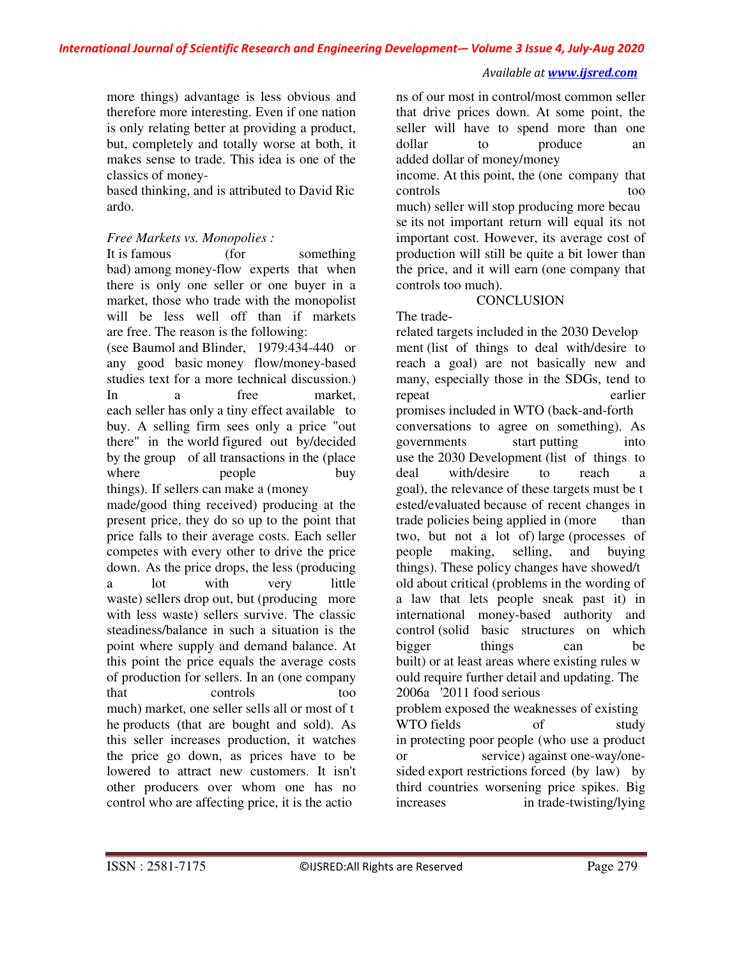more things) advantage is less obvious and therefore more interesting. Even if one nation is only relating better at providing a product, but, completely and totally worse at both, it makes sense to trade. This idea is one of the classics of money-

based thinking, and is attributed to David Ric ardo.

# *Free Markets vs. Monopolies :*

It is famous (for something bad) among money-flow experts that when there is only one seller or one buyer in a market, those who trade with the monopolist will be less well off than if markets are free. The reason is the following: (see Baumol and Blinder, 1979:434-440 or any good basic money flow/money-based studies text for a more technical discussion.) In a free market, each seller has only a tiny effect available to buy. A selling firm sees only a price "out there" in the world figured out by/decided by the group of all transactions in the (place where people buy things). If sellers can make a (money made/good thing received) producing at the present price, they do so up to the point that price falls to their average costs. Each seller competes with every other to drive the price down. As the price drops, the less (producing a lot with very little waste) sellers drop out, but (producing more with less waste) sellers survive. The classic steadiness/balance in such a situation is the point where supply and demand balance. At this point the price equals the average costs of production for sellers. In an (one company that controls too much) market, one seller sells all or most of t he products (that are bought and sold). As this seller increases production, it watches the price go down, as prices have to be lowered to attract new customers. It isn't other producers over whom one has no control who are affecting price, it is the actio

ns of our most in control/most common seller that drive prices down. At some point, the seller will have to spend more than one dollar to produce an added dollar of money/money income. At this point, the (one company that controls too much) seller will stop producing more becau se its not important return will equal its not important cost. However, its average cost of production will still be quite a bit lower than the price, and it will earn (one company that controls too much).

# **CONCLUSION**

The trade-

related targets included in the 2030 Develop ment (list of things to deal with/desire to reach a goal) are not basically new and many, especially those in the SDGs, tend to repeat earlier promises included in WTO (back-and-forth conversations to agree on something). As governments start putting into use the 2030 Development (list of things to deal with/desire to reach a goal), the relevance of these targets must be t ested/evaluated because of recent changes in trade policies being applied in (more than two, but not a lot of) large (processes of people making, selling, and buying things). These policy changes have showed/t old about critical (problems in the wording of a law that lets people sneak past it) in international money-based authority and control (solid basic structures on which bigger things can be built) or at least areas where existing rules w ould require further detail and updating. The 2006a '2011 food serious problem exposed the weaknesses of existing WTO fields of study in protecting poor people (who use a product or service) against one-way/onesided export restrictions forced (by law) by third countries worsening price spikes. Big increases in trade-twisting/lying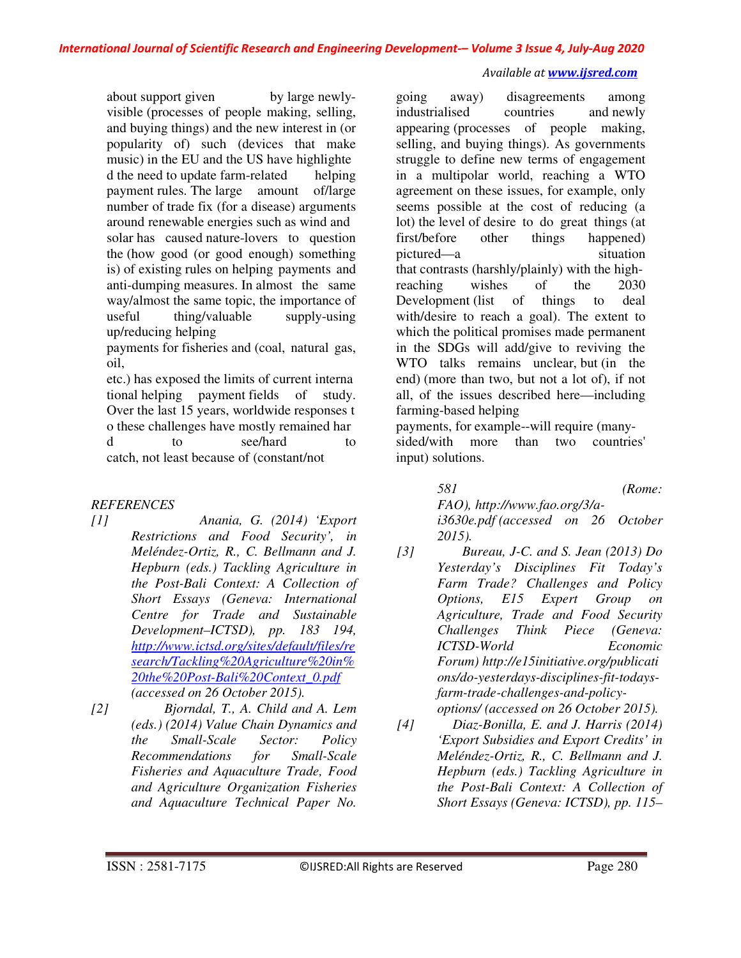about support given by large newlyvisible (processes of people making, selling, and buying things) and the new interest in (or popularity of) such (devices that make music) in the EU and the US have highlighte d the need to update farm-related helping payment rules. The large amount of/large number of trade fix (for a disease) arguments around renewable energies such as wind and solar has caused nature-lovers to question the (how good (or good enough) something is) of existing rules on helping payments and anti-dumping measures. In almost the same way/almost the same topic, the importance of useful thing/valuable supply-using up/reducing helping payments for fisheries and (coal, natural gas, oil,

etc.) has exposed the limits of current interna tional helping payment fields of study. Over the last 15 years, worldwide responses t o these challenges have mostly remained har d to see/hard to catch, not least because of (constant/not

# *REFERENCES*

- *[1] Anania, G. (2014) 'Export Restrictions and Food Security', in Meléndez-Ortiz, R., C. Bellmann and J. Hepburn (eds.) Tackling Agriculture in the Post-Bali Context: A Collection of Short Essays (Geneva: International Centre for Trade and Sustainable Development–ICTSD), pp. 183 194, http://www.ictsd.org/sites/default/files/re search/Tackling%20Agriculture%20in% 20the%20Post-Bali%20Context\_0.pdf (accessed on 26 October 2015).*
- *[2] Bjorndal, T., A. Child and A. Lem (eds.) (2014) Value Chain Dynamics and the Small-Scale Sector: Policy Recommendations for Small-Scale Fisheries and Aquaculture Trade, Food and Agriculture Organization Fisheries and Aquaculture Technical Paper No.*

going away) disagreements among industrialised countries and newly appearing (processes of people making, selling, and buying things). As governments struggle to define new terms of engagement in a multipolar world, reaching a WTO agreement on these issues, for example, only seems possible at the cost of reducing (a lot) the level of desire to do great things (at first/before other things happened) pictured—a situation that contrasts (harshly/plainly) with the highreaching wishes of the 2030 Development (list of things to deal with/desire to reach a goal). The extent to which the political promises made permanent in the SDGs will add/give to reviving the WTO talks remains unclear, but (in the end) (more than two, but not a lot of), if not all, of the issues described here—including farming-based helping

payments, for example--will require (manysided/with more than two countries' input) solutions.

> *581 (Rome: FAO), http://www.fao.org/3/ai3630e.pdf (accessed on 26 October 2015).*

- *[3] Bureau, J-C. and S. Jean (2013) Do Yesterday's Disciplines Fit Today's Farm Trade? Challenges and Policy Options, E15 Expert Group on Agriculture, Trade and Food Security Challenges Think Piece (Geneva: ICTSD-World Economic Forum) http://e15initiative.org/publicati ons/do-yesterdays-disciplines-fit-todaysfarm-trade-challenges-and-policyoptions/ (accessed on 26 October 2015).*
- *[4] Diaz-Bonilla, E. and J. Harris (2014) 'Export Subsidies and Export Credits' in Meléndez-Ortiz, R., C. Bellmann and J. Hepburn (eds.) Tackling Agriculture in the Post-Bali Context: A Collection of Short Essays (Geneva: ICTSD), pp. 115–*